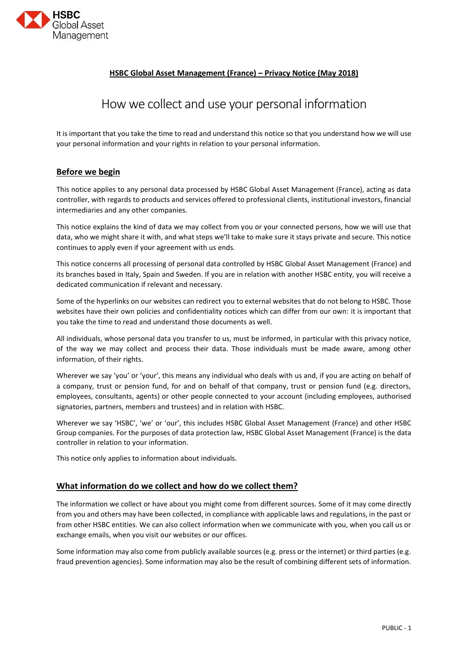

# **HSBC Global Asset Management (France) – Privacy Notice (May 2018)**

# How we collect and use your personal information

It is important that you take the time to read and understand this notice so that you understand how we will use your personal information and your rights in relation to your personal information.

# **Before we begin**

This notice applies to any personal data processed by HSBC Global Asset Management (France), acting as data controller, with regards to products and services offered to professional clients, institutional investors, financial intermediaries and any other companies.

This notice explains the kind of data we may collect from you or your connected persons, how we will use that data, who we might share it with, and what steps we'll take to make sure it stays private and secure. This notice continues to apply even if your agreement with us ends.

This notice concerns all processing of personal data controlled by HSBC Global Asset Management (France) and its branches based in Italy, Spain and Sweden. If you are in relation with another HSBC entity, you will receive a dedicated communication if relevant and necessary.

Some of the hyperlinks on our websites can redirect you to external websites that do not belong to HSBC. Those websites have their own policies and confidentiality notices which can differ from our own: it is important that you take the time to read and understand those documents as well.

All individuals, whose personal data you transfer to us, must be informed, in particular with this privacy notice, of the way we may collect and process their data. Those individuals must be made aware, among other information, of their rights.

Wherever we say 'you' or 'your', this means any individual who deals with us and, if you are acting on behalf of a company, trust or pension fund, for and on behalf of that company, trust or pension fund (e.g. directors, employees, consultants, agents) or other people connected to your account (including employees, authorised signatories, partners, members and trustees) and in relation with HSBC.

Wherever we say 'HSBC', 'we' or 'our', this includes HSBC Global Asset Management (France) and other HSBC Group companies. For the purposes of data protection law, HSBC Global Asset Management (France) is the data controller in relation to your information.

This notice only applies to information about individuals.

# **What information do we collect and how do we collect them?**

The information we collect or have about you might come from different sources. Some of it may come directly from you and others may have been collected, in compliance with applicable laws and regulations, in the past or from other HSBC entities. We can also collect information when we communicate with you, when you call us or exchange emails, when you visit our websites or our offices.

Some information may also come from publicly available sources (e.g. press or the internet) or third parties (e.g. fraud prevention agencies). Some information may also be the result of combining different sets of information.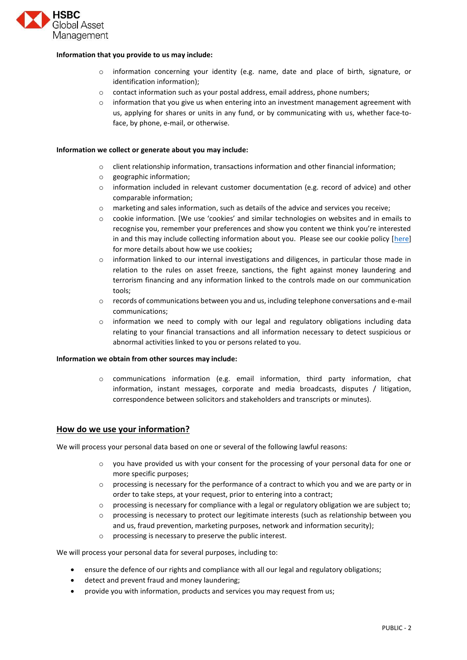

#### **Information that you provide to us may include:**

- $\circ$  information concerning your identity (e.g. name, date and place of birth, signature, or identification information);
- o contact information such as your postal address, email address, phone numbers;
- $\circ$  information that you give us when entering into an investment management agreement with us, applying for shares or units in any fund, or by communicating with us, whether face-toface, by phone, e-mail, or otherwise.

## **Information we collect or generate about you may include:**

- client relationship information, transactions information and other financial information;
- o geographic information;
- $\circ$  information included in relevant customer documentation (e.g. record of advice) and other comparable information;
- o marketing and sales information, such as details of the advice and services you receive;
- o cookie information*.* [We use 'cookies' and similar technologies on websites and in emails to recognise you, remember your preferences and show you content we think you're interested in and this may include collecting information about you. Please see our cookie policy [\[here\]](http://www.assetmanagement.hsbc.co.uk/en/individual-investor/cookie-policy) for more details about how we use cookies**;**
- $\circ$  information linked to our internal investigations and diligences, in particular those made in relation to the rules on asset freeze, sanctions, the fight against money laundering and terrorism financing and any information linked to the controls made on our communication tools;
- o records of communications between you and us, including telephone conversations and e-mail communications;
- $\circ$  information we need to comply with our legal and regulatory obligations including data relating to your financial transactions and all information necessary to detect suspicious or abnormal activities linked to you or persons related to you.

## **Information we obtain from other sources may include:**

o communications information (e.g. email information, third party information, chat information, instant messages, corporate and media broadcasts, disputes / litigation, correspondence between solicitors and stakeholders and transcripts or minutes).

# **How do we use your information?**

We will process your personal data based on one or several of the following lawful reasons:

- o you have provided us with your consent for the processing of your personal data for one or more specific purposes;
- o processing is necessary for the performance of a contract to which you and we are party or in order to take steps, at your request, prior to entering into a contract;
- $\circ$  processing is necessary for compliance with a legal or regulatory obligation we are subject to;
- o processing is necessary to protect our legitimate interests (such as relationship between you and us, fraud prevention, marketing purposes, network and information security);
- o processing is necessary to preserve the public interest.

We will process your personal data for several purposes, including to:

- ensure the defence of our rights and compliance with all our legal and regulatory obligations;
- detect and prevent fraud and money laundering;
- provide you with information, products and services you may request from us;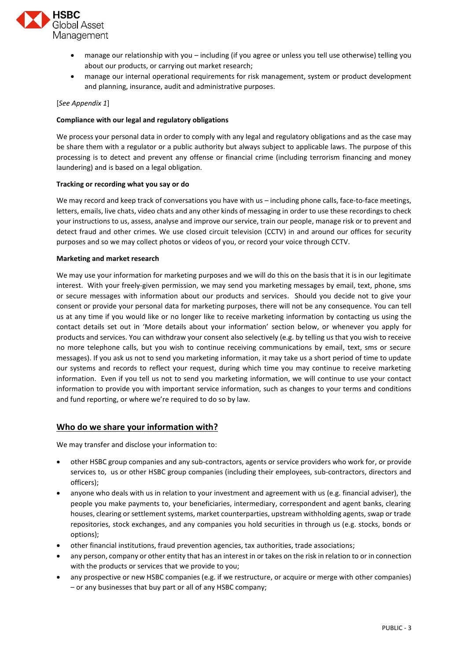

- manage our relationship with you including (if you agree or unless you tell use otherwise) telling you about our products, or carrying out market research;
- manage our internal operational requirements for risk management, system or product development and planning, insurance, audit and administrative purposes.

## [*See Appendix 1*]

#### **Compliance with our legal and regulatory obligations**

We process your personal data in order to comply with any legal and regulatory obligations and as the case may be share them with a regulator or a public authority but always subject to applicable laws. The purpose of this processing is to detect and prevent any offense or financial crime (including terrorism financing and money laundering) and is based on a legal obligation.

#### **Tracking or recording what you say or do**

We may record and keep track of conversations you have with us - including phone calls, face-to-face meetings, letters, emails, live chats, video chats and any other kinds of messaging in order to use these recordings to check your instructions to us, assess, analyse and improve our service, train our people, manage risk or to prevent and detect fraud and other crimes. We use closed circuit television (CCTV) in and around our offices for security purposes and so we may collect photos or videos of you, or record your voice through CCTV.

#### **Marketing and market research**

We may use your information for marketing purposes and we will do this on the basis that it is in our legitimate interest. With your freely-given permission, we may send you marketing messages by email, text, phone, sms or secure messages with information about our products and services. Should you decide not to give your consent or provide your personal data for marketing purposes, there will not be any consequence. You can tell us at any time if you would like or no longer like to receive marketing information by contacting us using the contact details set out in 'More details about your information' section below, or whenever you apply for products and services. You can withdraw your consent also selectively (e.g. by telling us that you wish to receive no more telephone calls, but you wish to continue receiving communications by email, text, sms or secure messages). If you ask us not to send you marketing information, it may take us a short period of time to update our systems and records to reflect your request, during which time you may continue to receive marketing information. Even if you tell us not to send you marketing information, we will continue to use your contact information to provide you with important service information, such as changes to your terms and conditions and fund reporting, or where we're required to do so by law.

## **Who do we share your information with?**

We may transfer and disclose your information to:

- other HSBC group companies and any sub-contractors, agents or service providers who work for, or provide services to, us or other HSBC group companies (including their employees, sub-contractors, directors and officers);
- anyone who deals with us in relation to your investment and agreement with us (e.g. financial adviser), the people you make payments to, your beneficiaries, intermediary, correspondent and agent banks, clearing houses, clearing or settlement systems, market counterparties, upstream withholding agents, swap or trade repositories, stock exchanges, and any companies you hold securities in through us (e.g. stocks, bonds or options);
- other financial institutions, fraud prevention agencies, tax authorities, trade associations;
- any person, company or other entity that has an interest in or takes on the risk in relation to or in connection with the products or services that we provide to you;
- any prospective or new HSBC companies (e.g. if we restructure, or acquire or merge with other companies) – or any businesses that buy part or all of any HSBC company;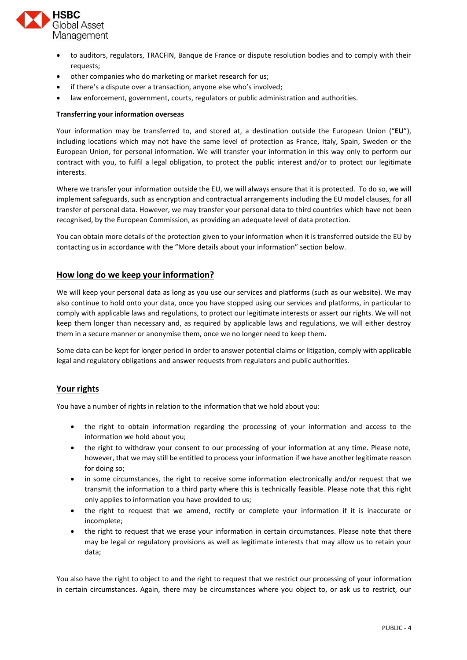

- to auditors, regulators, TRACFIN, Banque de France or dispute resolution bodies and to comply with their requests;
- other companies who do marketing or market research for us;
- if there's a dispute over a transaction, anyone else who's involved;
- law enforcement, government, courts, regulators or public administration and authorities.

## **Transferring your information overseas**

Your information may be transferred to, and stored at, a destination outside the European Union ("**EU**"), including locations which may not have the same level of protection as France, Italy, Spain, Sweden or the European Union, for personal information. We will transfer your information in this way only to perform our contract with you, to fulfil a legal obligation, to protect the public interest and/or to protect our legitimate interests.

Where we transfer your information outside the EU, we will always ensure that it is protected. To do so, we will implement safeguards, such as encryption and contractual arrangements including the EU model clauses, for all transfer of personal data. However, we may transfer your personal data to third countries which have not been recognised, by the European Commission, as providing an adequate level of data protection.

You can obtain more details of the protection given to your information when it is transferred outside the EU by contacting us in accordance with the "More details about your information" section below.

# **How long do we keep your information?**

We will keep your personal data as long as you use our services and platforms (such as our website). We may also continue to hold onto your data, once you have stopped using our services and platforms, in particular to comply with applicable laws and regulations, to protect our legitimate interests or assert our rights. We will not keep them longer than necessary and, as required by applicable laws and regulations, we will either destroy them in a secure manner or anonymise them, once we no longer need to keep them.

Some data can be kept for longer period in order to answer potential claims or litigation, comply with applicable legal and regulatory obligations and answer requests from regulators and public authorities.

# **Your rights**

You have a number of rights in relation to the information that we hold about you:

- the right to obtain information regarding the processing of your information and access to the information we hold about you;
- the right to withdraw your consent to our processing of your information at any time. Please note, however, that we may still be entitled to process your information if we have another legitimate reason for doing so;
- in some circumstances, the right to receive some information electronically and/or request that we transmit the information to a third party where this is technically feasible. Please note that this right only applies to information you have provided to us;
- the right to request that we amend, rectify or complete your information if it is inaccurate or incomplete;
- the right to request that we erase your information in certain circumstances. Please note that there may be legal or regulatory provisions as well as legitimate interests that may allow us to retain your data;

You also have the right to object to and the right to request that we restrict our processing of your information in certain circumstances. Again, there may be circumstances where you object to, or ask us to restrict, our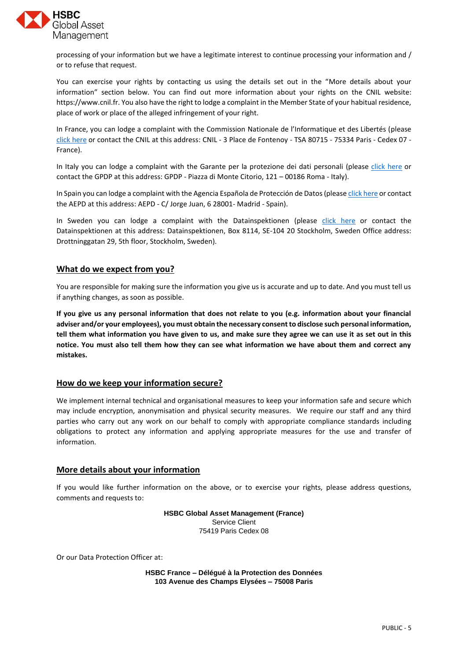

processing of your information but we have a legitimate interest to continue processing your information and / or to refuse that request.

You can exercise your rights by contacting us using the details set out in the "More details about your information" section below. You can find out more information about your rights on the CNIL website: https://www.cnil.fr. You also have the right to lodge a complaint in the Member State of your habitual residence, place of work or place of the alleged infringement of your right.

In France, you can lodge a complaint with the Commission Nationale de l'Informatique et des Libertés (please [click here](https://www.cnil.fr/fr/agir) or contact the CNIL at this address: CNIL - 3 Place de Fontenoy - TSA 80715 - 75334 Paris - Cedex 07 - France).

In Italy you can lodge a complaint with the Garante per la protezione dei dati personali (please [click here](http://www.gpdp.it/) or contact the GPDP at this address: GPDP - Piazza di Monte Citorio, 121 – 00186 Roma - Italy).

In Spain you can lodge a complaint with the Agencia Española de Protección de Datos (please [click here](https://sedeagpd.gob.es/sede-electronica-web/vistas/formSpam/spamDenuncia.jsf;jsessionid=3FC268F548C59FFD4F289FCC645855EA) or contact the AEPD at this address: AEPD - C/ Jorge Juan, 6 28001- Madrid - Spain).

In Sweden you can lodge a complaint with the Datainspektionen (please [click here](https://www.datainspektionen.se/) or contact the Datainspektionen at this address: Datainspektionen, Box 8114, SE-104 20 Stockholm, Sweden Office address: Drottninggatan 29, 5th floor, Stockholm, Sweden).

## **What do we expect from you?**

You are responsible for making sure the information you give us is accurate and up to date. And you must tell us if anything changes, as soon as possible.

**If you give us any personal information that does not relate to you (e.g. information about your financial adviser and/or your employees), you must obtain the necessary consent to disclose such personal information, tell them what information you have given to us, and make sure they agree we can use it as set out in this notice. You must also tell them how they can see what information we have about them and correct any mistakes.**

# **How do we keep your information secure?**

We implement internal technical and organisational measures to keep your information safe and secure which may include encryption, anonymisation and physical security measures. We require our staff and any third parties who carry out any work on our behalf to comply with appropriate compliance standards including obligations to protect any information and applying appropriate measures for the use and transfer of information.

# **More details about your information**

If you would like further information on the above, or to exercise your rights, please address questions, comments and requests to:

> **HSBC Global Asset Management (France)** Service Client 75419 Paris Cedex 08

Or our Data Protection Officer at:

**HSBC France – Délégué à la Protection des Données 103 Avenue des Champs Elysées – 75008 Paris**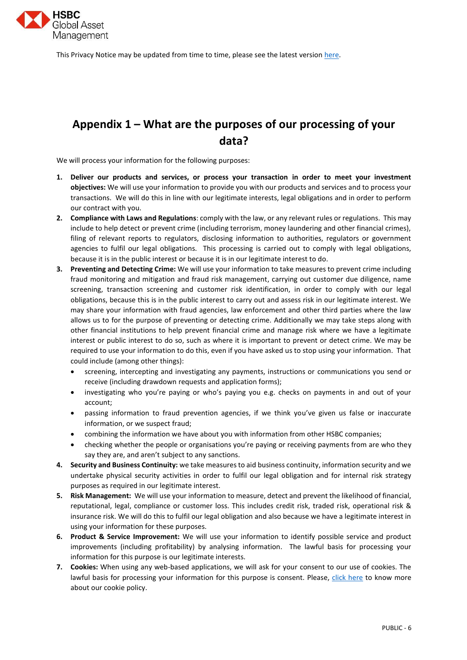

This Privacy Notice may be updated from time to time, please see the latest version here.

# **Appendix 1 – What are the purposes of our processing of your data?**

We will process your information for the following purposes:

- **1. Deliver our products and services, or process your transaction in order to meet your investment objectives:** We will use your information to provide you with our products and services and to process your transactions. We will do this in line with our legitimate interests, legal obligations and in order to perform our contract with you.
- **2. Compliance with Laws and Regulations**: comply with the law, or any relevant rules or regulations. This may include to help detect or prevent crime (including terrorism, money laundering and other financial crimes), filing of relevant reports to regulators, disclosing information to authorities, regulators or government agencies to fulfil our legal obligations. This processing is carried out to comply with legal obligations, because it is in the public interest or because it is in our legitimate interest to do.
- **3. Preventing and Detecting Crime:** We will use your information to take measures to prevent crime including fraud monitoring and mitigation and fraud risk management, carrying out customer due diligence, name screening, transaction screening and customer risk identification, in order to comply with our legal obligations, because this is in the public interest to carry out and assess risk in our legitimate interest. We may share your information with fraud agencies, law enforcement and other third parties where the law allows us to for the purpose of preventing or detecting crime. Additionally we may take steps along with other financial institutions to help prevent financial crime and manage risk where we have a legitimate interest or public interest to do so, such as where it is important to prevent or detect crime. We may be required to use your information to do this, even if you have asked us to stop using your information. That could include (among other things):
	- screening, intercepting and investigating any payments, instructions or communications you send or receive (including drawdown requests and application forms);
	- investigating who you're paying or who's paying you e.g. checks on payments in and out of your account;
	- passing information to fraud prevention agencies, if we think you've given us false or inaccurate information, or we suspect fraud;
	- combining the information we have about you with information from other HSBC companies;
	- checking whether the people or organisations you're paying or receiving payments from are who they say they are, and aren't subject to any sanctions.
- **4. Security and Business Continuity:** we take measures to aid business continuity, information security and we undertake physical security activities in order to fulfil our legal obligation and for internal risk strategy purposes as required in our legitimate interest.
- **5. Risk Management:** We will use your information to measure, detect and prevent the likelihood of financial, reputational, legal, compliance or customer loss. This includes credit risk, traded risk, operational risk & insurance risk. We will do this to fulfil our legal obligation and also because we have a legitimate interest in using your information for these purposes.
- **6. Product & Service Improvement:** We will use your information to identify possible service and product improvements (including profitability) by analysing information. The lawful basis for processing your information for this purpose is our legitimate interests.
- **7. Cookies:** When using any web-based applications, we will ask for your consent to our use of cookies. The lawful basis for processing your information for this purpose is consent. Please, [click here](http://www.assetmanagement.hsbc.co.uk/en/individual-investor/cookie-policy) to know more about our cookie policy.